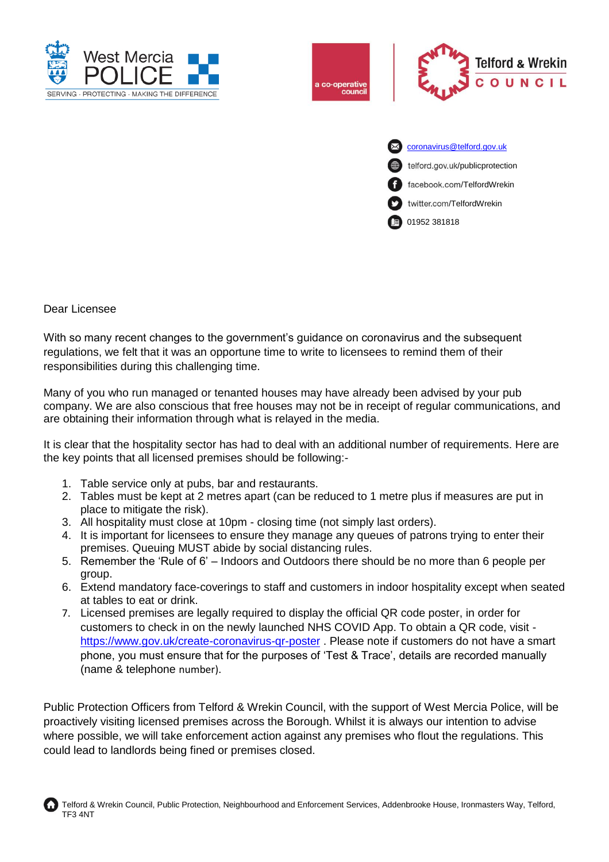



facebook.com/TelfordWrekin

twitter.com/TelfordWrekin

01952 381818

## Dear Licensee

With so many recent changes to the government's guidance on coronavirus and the subsequent regulations, we felt that it was an opportune time to write to licensees to remind them of their responsibilities during this challenging time.

Many of you who run managed or tenanted houses may have already been advised by your pub company. We are also conscious that free houses may not be in receipt of regular communications, and are obtaining their information through what is relayed in the media.

It is clear that the hospitality sector has had to deal with an additional number of requirements. Here are the key points that all licensed premises should be following:-

- 1. Table service only at pubs, bar and restaurants.
- 2. Tables must be kept at 2 metres apart (can be reduced to 1 metre plus if measures are put in place to mitigate the risk).
- 3. All hospitality must close at 10pm closing time (not simply last orders).
- 4. It is important for licensees to ensure they manage any queues of patrons trying to enter their premises. Queuing MUST abide by social distancing rules.
- 5. Remember the 'Rule of 6' Indoors and Outdoors there should be no more than 6 people per group.
- 6. Extend mandatory face-coverings to staff and customers in indoor hospitality except when seated at tables to eat or drink.
- 7. Licensed premises are legally required to display the official QR code poster, in order for customers to check in on the newly launched NHS COVID App. To obtain a QR code, visit https://www.gov.uk/create-coronavirus-gr-poster . Please note if customers do not have a smart phone, you must ensure that for the purposes of 'Test & Trace', details are recorded manually (name & telephone number).

Public Protection Officers from Telford & Wrekin Council, with the support of West Mercia Police, will be proactively visiting licensed premises across the Borough. Whilst it is always our intention to advise where possible, we will take enforcement action against any premises who flout the regulations. This could lead to landlords being fined or premises closed.